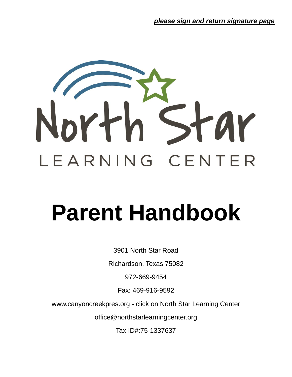

# **Parent Handbook**

3901 North Star Road

Richardson, Texas 75082

972-669-9454

Fax: 469-916-9592

www.canyoncreekpres.org - click on North Star Learning Center

office@northstarlearningcenter.org

Tax ID#:75-1337637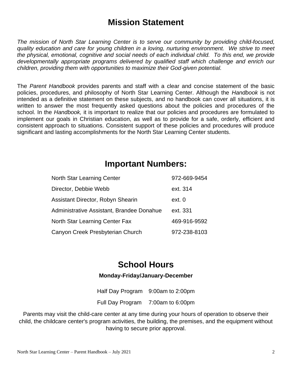### **Mission Statement**

*The mission of North Star Learning Center is to serve our community by providing child-focused, quality education and care for young children in a loving, nurturing environment. We strive to meet the physical, emotional, cognitive and social needs of each individual child. To this end, we provide developmentally appropriate programs delivered by qualified staff which challenge and enrich our children, providing them with opportunities to maximize their God-given potential.*

The *Parent Handbook* provides parents and staff with a clear and concise statement of the basic policies, procedures, and philosophy of North Star Learning Center. Although the *Handbook* is not intended as a definitive statement on these subjects, and no handbook can cover all situations, it is written to answer the most frequently asked questions about the policies and procedures of the school. In the *Handbook,* it is important to realize that our policies and procedures are formulated to implement our goals in Christian education, as well as to provide for a safe, orderly, efficient and consistent approach to situations. Consistent support of these policies and procedures will produce significant and lasting accomplishments for the North Star Learning Center students.

### **Important Numbers:**

| North Star Learning Center                | 972-669-9454 |
|-------------------------------------------|--------------|
| Director, Debbie Webb                     | ext. 314     |
| Assistant Director, Robyn Shearin         | ext. 0       |
| Administrative Assistant, Brandee Donahue | ext. 331     |
| North Star Learning Center Fax            | 469-916-9592 |
| Canyon Creek Presbyterian Church          | 972-238-8103 |

### **School Hours**

#### **Monday-Friday/January-December**

Half Day Program 9:00am to 2:00pm Full Day Program 7:00am to 6:00pm

Parents may visit the child-care center at any time during your hours of operation to observe their child, the childcare center's program activities, the building, the premises, and the equipment without having to secure prior approval.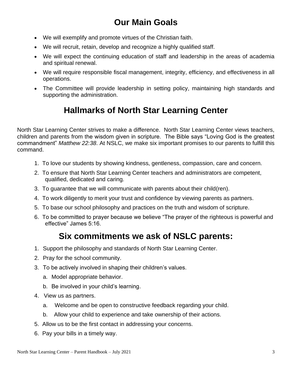### **Our Main Goals**

- We will exemplify and promote virtues of the Christian faith.
- We will recruit, retain, develop and recognize a highly qualified staff.
- We will expect the continuing education of staff and leadership in the areas of academia and spiritual renewal.
- We will require responsible fiscal management, integrity, efficiency, and effectiveness in all operations.
- The Committee will provide leadership in setting policy, maintaining high standards and supporting the administration.

### **Hallmarks of North Star Learning Center**

North Star Learning Center strives to make a difference. North Star Learning Center views teachers, children and parents from the wisdom given in scripture. The Bible says "Loving God is the greatest commandment" *Matthew 22:38*. At NSLC, we make six important promises to our parents to fulfill this command.

- 1. To love our students by showing kindness, gentleness, compassion, care and concern.
- 2. To ensure that North Star Learning Center teachers and administrators are competent, qualified, dedicated and caring.
- 3. To guarantee that we will communicate with parents about their child(ren).
- 4. To work diligently to merit your trust and confidence by viewing parents as partners.
- 5. To base our school philosophy and practices on the truth and wisdom of scripture.
- 6. To be committed to prayer because we believe "The prayer of the righteous is powerful and effective" James 5:16.

### **Six commitments we ask of NSLC parents:**

- 1. Support the philosophy and standards of North Star Learning Center.
- 2. Pray for the school community.
- 3. To be actively involved in shaping their children's values.
	- a. Model appropriate behavior.
	- b. Be involved in your child's learning.
- 4. View us as partners.
	- a. Welcome and be open to constructive feedback regarding your child.
	- b. Allow your child to experience and take ownership of their actions.
- 5. Allow us to be the first contact in addressing your concerns.
- 6. Pay your bills in a timely way.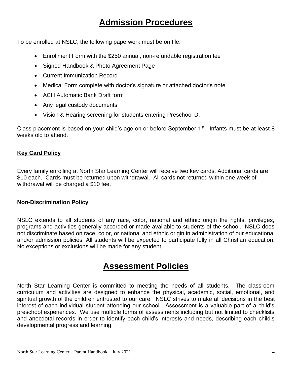### **Admission Procedures**

To be enrolled at NSLC, the following paperwork must be on file:

- Enrollment Form with the \$250 annual, non-refundable registration fee
- Signed Handbook & Photo Agreement Page
- Current Immunization Record
- Medical Form complete with doctor's signature or attached doctor's note
- ACH Automatic Bank Draft form
- Any legal custody documents
- Vision & Hearing screening for students entering Preschool D.

Class placement is based on your child's age on or before September  $1<sup>st</sup>$ . Infants must be at least 8 weeks old to attend.

#### **Key Card Policy**

Every family enrolling at North Star Learning Center will receive two key cards. Additional cards are \$10 each. Cards must be returned upon withdrawal. All cards not returned within one week of withdrawal will be charged a \$10 fee.

#### **Non-Discrimination Policy**

NSLC extends to all students of any race, color, national and ethnic origin the rights, privileges, programs and activities generally accorded or made available to students of the school. NSLC does not discriminate based on race, color, or national and ethnic origin in administration of our educational and/or admission policies. All students will be expected to participate fully in all Christian education. No exceptions or exclusions will be made for any student.

### **Assessment Policies**

North Star Learning Center is committed to meeting the needs of all students. The classroom curriculum and activities are designed to enhance the physical, academic, social, emotional, and spiritual growth of the children entrusted to our care. NSLC strives to make all decisions in the best interest of each individual student attending our school. Assessment is a valuable part of a child's preschool experiences. We use multiple forms of assessments including but not limited to checklists and anecdotal records in order to identify each child's interests and needs, describing each child's developmental progress and learning.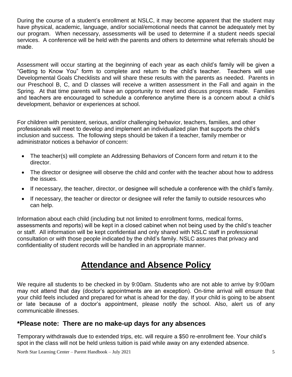During the course of a student's enrollment at NSLC, it may become apparent that the student may have physical, academic, language, and/or social/emotional needs that cannot be adequately met by our program. When necessary, assessments will be used to determine if a student needs special services. A conference will be held with the parents and others to determine what referrals should be made.

Assessment will occur starting at the beginning of each year as each child's family will be given a "Getting to Know You" form to complete and return to the child's teacher. Teachers will use Developmental Goals Checklists and will share these results with the parents as needed. Parents in our Preschool B, C, and D classes will receive a written assessment in the Fall and again in the Spring. At that time parents will have an opportunity to meet and discuss progress made. Families and teachers are encouraged to schedule a conference anytime there is a concern about a child's development, behavior or experiences at school.

For children with persistent, serious, and/or challenging behavior, teachers, families, and other professionals will meet to develop and implement an individualized plan that supports the child's inclusion and success. The following steps should be taken if a teacher, family member or administrator notices a behavior of concern:

- The teacher(s) will complete an Addressing Behaviors of Concern form and return it to the director.
- The director or designee will observe the child and confer with the teacher about how to address the issues.
- If necessary, the teacher, director, or designee will schedule a conference with the child's family.
- If necessary, the teacher or director or designee will refer the family to outside resources who can help.

Information about each child (including but not limited to enrollment forms, medical forms, assessments and reports) will be kept in a closed cabinet when not being used by the child's teacher or staff. All information will be kept confidential and only shared with NSLC staff in professional consultation or with those people indicated by the child's family. NSLC assures that privacy and confidentiality of student records will be handled in an appropriate manner.

### **Attendance and Absence Policy**

We require all students to be checked in by 9:00am. Students who are not able to arrive by 9:00am may not attend that day (doctor's appointments are an exception). On-time arrival will ensure that your child feels included and prepared for what is ahead for the day. If your child is going to be absent or late because of a doctor's appointment, please notify the school. Also, alert us of any communicable illnesses.

#### **\*Please note: There are no make-up days for any absences**

Temporary withdrawals due to extended trips, etc. will require a \$50 re-enrollment fee. Your child's spot in the class will not be held unless tuition is paid while away on any extended absence.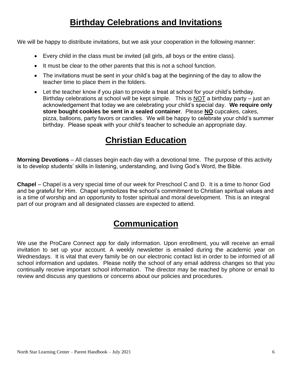### **Birthday Celebrations and Invitations**

We will be happy to distribute invitations, but we ask your cooperation in the following manner:

- Every child in the class must be invited (all girls, all boys or the entire class).
- It must be clear to the other parents that this is not a school function.
- The invitations must be sent in your child's bag at the beginning of the day to allow the teacher time to place them in the folders.
- Let the teacher know if you plan to provide a treat at school for your child's birthday. Birthday celebrations at school will be kept simple. This is NOT a birthday party – just an acknowledgement that today we are celebrating your child's special day. **We require only store bought cookies be sent in a sealed container**. Please **NO** cupcakes, cakes, pizza, balloons, party favors or candles. We will be happy to celebrate your child's summer birthday. Please speak with your child's teacher to schedule an appropriate day.

### **Christian Education**

**Morning Devotions** – All classes begin each day with a devotional time. The purpose of this activity is to develop students' skills in listening, understanding, and living God's Word, the Bible.

**Chapel** – Chapel is a very special time of our week for Preschool C and D. It is a time to honor God and be grateful for Him. Chapel symbolizes the school's commitment to Christian spiritual values and is a time of worship and an opportunity to foster spiritual and moral development. This is an integral part of our program and all designated classes are expected to attend.

### **Communication**

We use the ProCare Connect app for daily information. Upon enrollment, you will receive an email invitation to set up your account. A weekly newsletter is emailed during the academic year on Wednesdays. It is vital that every family be on our electronic contact list in order to be informed of all school information and updates. Please notify the school of any email address changes so that you continually receive important school information. The director may be reached by phone or email to review and discuss any questions or concerns about our policies and procedures.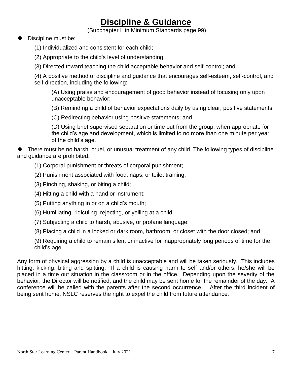### **Discipline & Guidance**

(Subchapter L in Minimum Standards page 99)

- Discipline must be:
	- (1) Individualized and consistent for each child;
	- (2) Appropriate to the child's level of understanding;
	- (3) Directed toward teaching the child acceptable behavior and self-control; and

(4) A positive method of discipline and guidance that encourages self-esteem, self-control, and self-direction, including the following:

(A) Using praise and encouragement of good behavior instead of focusing only upon unacceptable behavior;

(B) Reminding a child of behavior expectations daily by using clear, positive statements;

(C) Redirecting behavior using positive statements; and

(D) Using brief supervised separation or time out from the group, when appropriate for the child's age and development, which is limited to no more than one minute per year of the child's age.

There must be no harsh, cruel, or unusual treatment of any child. The following types of discipline and guidance are prohibited:

- (1) Corporal punishment or threats of corporal punishment;
- (2) Punishment associated with food, naps, or toilet training;
- (3) Pinching, shaking, or biting a child;
- (4) Hitting a child with a hand or instrument;
- (5) Putting anything in or on a child's mouth;
- (6) Humiliating, ridiculing, rejecting, or yelling at a child;
- (7) Subjecting a child to harsh, abusive, or profane language;
- (8) Placing a child in a locked or dark room, bathroom, or closet with the door closed; and

(9) Requiring a child to remain silent or inactive for inappropriately long periods of time for the child's age.

Any form of physical aggression by a child is unacceptable and will be taken seriously. This includes hitting, kicking, biting and spitting. If a child is causing harm to self and/or others, he/she will be placed in a time out situation in the classroom or in the office. Depending upon the severity of the behavior, the Director will be notified, and the child may be sent home for the remainder of the day. A conference will be called with the parents after the second occurrence. After the third incident of being sent home, NSLC reserves the right to expel the child from future attendance.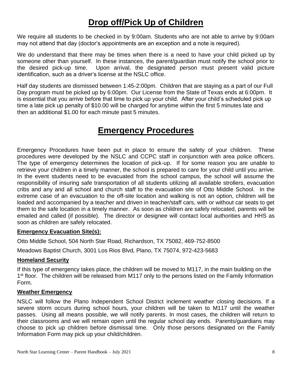### **Drop off/Pick Up of Children**

We require all students to be checked in by 9:00am. Students who are not able to arrive by 9:00am may not attend that day (doctor's appointments are an exception and a note is required).

We do understand that there may be times when there is a need to have your child picked up by someone other than yourself. In these instances, the parent/guardian must notify the school prior to the desired pick-up time. Upon arrival, the designated person must present valid picture identification, such as a driver's license at the NSLC office.

Half day students are dismissed between 1:45-2:00pm. Children that are staying as a part of our Full Day program must be picked up by 6:00pm. Our License from the State of Texas ends at 6:00pm. It is essential that you arrive before that time to pick up your child. After your child's scheduled pick up time a late pick up penalty of \$10.00 will be charged for anytime within the first 5 minutes late and then an additional \$1.00 for each minute past 5 minutes.

### **Emergency Procedures**

Emergency Procedures have been put in place to ensure the safety of your children. These procedures were developed by the NSLC and CCPC staff in conjunction with area police officers. The type of emergency determines the location of pick-up. If for some reason you are unable to retrieve your children in a timely manner, the school is prepared to care for your child until you arrive. In the event students need to be evacuated from the school campus, the school will assume the responsibility of insuring safe transportation of all students utilizing all available strollers, evacuation cribs and any and all school and church staff to the evacuation site of Otto Middle School. In the extreme case of an evacuation to the off-site location and walking is not an option, children will be loaded and accompanied by a teacher and driven in teacher/staff cars, with or without car seats to get them to the safe location in a timely manner. As soon as children are safely relocated, parents will be emailed and called (if possible). The director or designee will contact local authorities and HHS as soon as children are safely relocated.

#### **Emergency Evacuation Site(s):**

Otto Middle School, 504 North Star Road, Richardson, TX 75082, 469-752-8500

Meadows Baptist Church, 3001 Los Rios Blvd, Plano, TX 75074, 972-423-5683

#### **Homeland Security**

If this type of emergency takes place, the children will be moved to M117, in the main building on the 1<sup>st</sup> floor. The children will be released from M117 only to the persons listed on the Family Information Form.

#### **Weather Emergency**

NSLC will follow the Plano Independent School District inclement weather closing decisions. If a severe storm occurs during school hours, your children will be taken to M117 until the weather passes. Using all means possible, we will notify parents. In most cases, the children will return to their classrooms and we will remain open until the regular school day ends. Parents/guardians may choose to pick up children before dismissal time. Only those persons designated on the Family Information Form may pick up your child/children.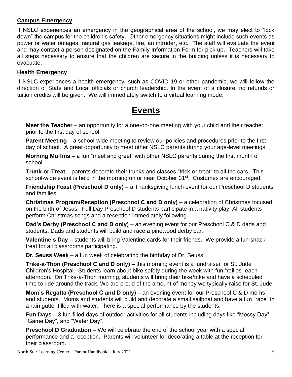#### **Campus Emergency**

If NSLC experiences an emergency in the geographical area of the school, we may elect to "lock down" the campus for the children's safety. Other emergency situations might include such events as power or water outages, natural gas leakage, fire, an intruder, etc. The staff will evaluate the event and may contact a person designated on the Family Information Form for pick up. Teachers will take all steps necessary to ensure that the children are secure in the building unless it is necessary to evacuate.

#### **Health Emergency**

If NSLC experiences a health emergency, such as COVID 19 or other pandemic, we will follow the direction of State and Local officials or church leadership. In the event of a closure, no refunds or tuition credits will be given. We will immediately switch to a virtual learning mode.

### **Events**

**Meet the Teacher** – an opportunity for a one-on-one meeting with your child and their teacher prior to the first day of school.

**Parent Meeting** – a school-wide meeting to review our policies and procedures prior to the first day of school. A great opportunity to meet other NSLC parents during your age-level meetings

**Morning Muffins** – a fun "meet and greet" with other NSLC parents during the first month of school.

**Trunk-or-Treat** – parents decorate their trunks and classes "trick-or-treat" to all the cars. This school-wide event is held in the morning on or near October 31<sup>st</sup>. Costumes are encouraged!

**Friendship Feast (Preschool D only)** – a Thanksgiving lunch event for our Preschool D students and families.

**Christmas Program/Reception (Preschool C and D only)** – a celebration of Christmas focused on the birth of Jesus. Full Day Preschool D students participate in a nativity play. All students perform Christmas songs and a reception immediately following.

**Dad's Derby (Preschool C and D only)** – an evening event for our Preschool C & D dads and students. Dads and students will build and race a pinewood derby car.

**Valentine's Day –** students will bring Valentine cards for their friends. We provide a fun snack treat for all classrooms participating.

**Dr. Seuss Week** – a fun week of celebrating the birthday of Dr. Seuss

**Trike-a-Thon (Preschool C and D only) –** this morning event is a fundraiser for St. Jude Children's Hospital. Students learn about bike safety during the week with fun "rallies" each afternoon. On Trike-a-Thon morning, students will bring their bike/trike and have a scheduled time to ride around the track. We are proud of the amount of money we typically raise for St. Jude!

**Mom's Regatta (Preschool C and D only) –** an evening event for our Preschool C & D moms and students. Moms and students will build and decorate a small sailboat and have a fun "race" in a rain gutter filled with water. There is a special performance by the students.

**Fun Days –** 3 fun-filled days of outdoor activities for all students including days like "Messy Day", "Game Day", and "Water Day".

**Preschool D Graduation –** We will celebrate the end of the school year with a special performance and a reception. Parents will volunteer for decorating a table at the reception for their classroom.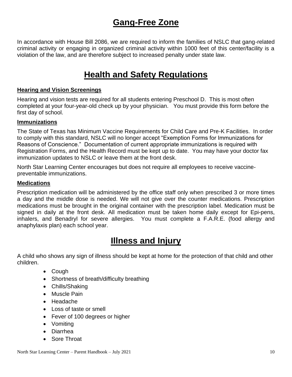### **Gang-Free Zone**

In accordance with House Bill 2086, we are required to inform the families of NSLC that gang-related criminal activity or engaging in organized criminal activity within 1000 feet of this center/facility is a violation of the law, and are therefore subject to increased penalty under state law.

### **Health and Safety Regulations**

#### **Hearing and Vision Screenings**

Hearing and vision tests are required for all students entering Preschool D. This is most often completed at your four-year-old check up by your physician. You must provide this form before the first day of school.

#### **Immunizations**

The State of Texas has Minimum Vaccine Requirements for Child Care and Pre-K Facilities. In order to comply with this standard, NSLC will no longer accept "Exemption Forms for Immunizations for Reasons of Conscience." Documentation of current appropriate immunizations is required with Registration Forms, and the Health Record must be kept up to date. You may have your doctor fax immunization updates to NSLC or leave them at the front desk.

North Star Learning Center encourages but does not require all employees to receive vaccinepreventable immunizations.

#### **Medications**

Prescription medication will be administered by the office staff only when prescribed 3 or more times a day and the middle dose is needed. We will not give over the counter medications. Prescription medications must be brought in the original container with the prescription label. Medication must be signed in daily at the front desk. All medication must be taken home daily except for Epi-pens, inhalers, and Benadryl for severe allergies. You must complete a F.A.R.E. (food allergy and anaphylaxis plan) each school year.

### **Illness and Injury**

A child who shows any sign of illness should be kept at home for the protection of that child and other children.

- Cough
- Shortness of breath/difficulty breathing
- Chills/Shaking
- Muscle Pain
- Headache
- Loss of taste or smell
- Fever of 100 degrees or higher
- Vomiting
- Diarrhea
- Sore Throat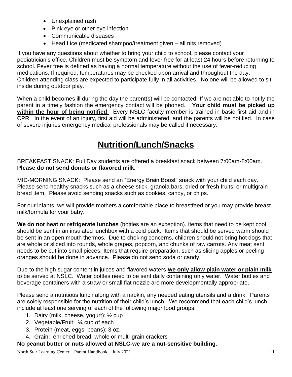- Unexplained rash
- Pink eye or other eye infection
- Communicable diseases
- Head Lice (medicated shampoo/treatment given all nits removed)

If you have any questions about whether to bring your child to school, please contact your pediatrician's office. Children must be symptom and fever free for at least 24 hours before returning to school. Fever free is defined as having a normal temperature without the use of fever-reducing medications. If required, temperatures may be checked upon arrival and throughout the day. Children attending class are expected to participate fully in all activities. No one will be allowed to sit inside during outdoor play.

When a child becomes ill during the day the parent(s) will be contacted. If we are not able to notify the parent in a timely fashion the emergency contact will be phoned. **Your child must be picked up within the hour of being notified**. Every NSLC faculty member is trained in basic first aid and in CPR. In the event of an injury, first aid will be administered, and the parents will be notified. In case of severe injuries emergency medical professionals may be called if necessary.

### **Nutrition/Lunch/Snacks**

BREAKFAST SNACK: Full Day students are offered a breakfast snack between 7:00am-8:00am. **Please do not send donuts or flavored milk.**

MID-MORNING SNACK: Please send an "Energy Brain Boost" snack with your child each day. Please send healthy snacks such as a cheese stick, granola bars, dried or fresh fruits, or multigrain bread item. Please avoid sending snacks such as cookies, candy, or chips.

For our infants, we will provide mothers a comfortable place to breastfeed or you may provide breast milk/formula for your baby.

**We do not heat or refrigerate lunches** (bottles are an exception). Items that need to be kept cool should be sent in an insulated lunchbox with a cold pack. Items that should be served warm should be sent in an open mouth thermos. Due to choking concerns, children should not bring hot dogs that are whole or sliced into rounds, whole grapes, popcorn, and chunks of raw carrots. Any meat sent needs to be cut into small pieces. Items that require preparation, such as slicing apples or peeling oranges should be done in advance. Please do not send soda or candy.

Due to the high sugar content in juices and flavored waters-**we only allow plain water or plain milk** to be served at NSLC. Water bottles need to be sent daily containing only water. Water bottles and beverage containers with a straw or small flat nozzle are more developmentally appropriate.

Please send a nutritious lunch along with a napkin, any needed eating utensils and a drink. Parents are solely responsible for the nutrition of their child's lunch. We recommend that each child's lunch include at least one serving of each of the following major food groups:

- 1. Dairy (milk, cheese, yogurt): ½ cup
- 2. Vegetable/Fruit: ¼ cup of each
- 3. Protein (meat, eggs, beans): 3 oz.
- 4. Grain: enriched bread, whole or multi-grain crackers

#### **No peanut butter or nuts allowed at NSLC-we are a nut-sensitive building**.

North Star Learning Center – Parent Handbook – July 2021 11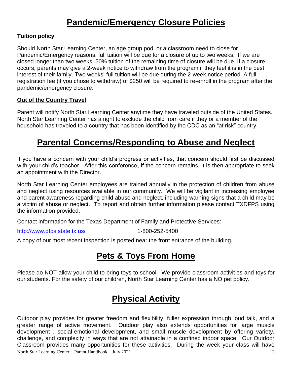### **Pandemic/Emergency Closure Policies**

#### **Tuition policy**

Should North Star Learning Center, an age group pod, or a classroom need to close for Pandemic/Emergency reasons, full tuition will be due for a closure of up to two weeks. If we are closed longer than two weeks, 50% tuition of the remaining time of closure will be due. If a closure occurs, parents may give a 2-week notice to withdraw from the program if they feel it is in the best interest of their family. Two weeks' full tuition will be due during the 2-week notice period. A full registration fee (if you chose to withdraw) of \$250 will be required to re-enroll in the program after the pandemic/emergency closure.

#### **Out of the Country Travel**

Parent will notify North Star Learning Center anytime they have traveled outside of the United States. North Star Learning Center has a right to exclude the child from care if they or a member of the household has traveled to a country that has been identified by the CDC as an "at risk" country.

### **Parental Concerns/Responding to Abuse and Neglect**

If you have a concern with your child's progress or activities, that concern should first be discussed with your child's teacher. After this conference, if the concern remains, it is then appropriate to seek an appointment with the Director.

North Star Learning Center employees are trained annually in the protection of children from abuse and neglect using resources available in our community. We will be vigilant in increasing employee and parent awareness regarding child abuse and neglect, including warning signs that a child may be a victim of abuse or neglect. To report and obtain further information please contact TXDFPS using the information provided.

Contact information for the Texas Department of Family and Protective Services:

<http://www.dfps.state.tx.us/> 1-800-252-5400

A copy of our most recent inspection is posted near the front entrance of the building.

### **Pets & Toys From Home**

Please do NOT allow your child to bring toys to school. We provide classroom activities and toys for our students. For the safety of our children, North Star Learning Center has a NO pet policy.

### **Physical Activity**

North Star Learning Center – Parent Handbook – July 2021 12 Outdoor play provides for greater freedom and flexibility, fuller expression through loud talk, and a greater range of active movement. Outdoor play also extends opportunities for large muscle development , social-emotional development, and small muscle development by offering variety, challenge, and complexity in ways that are not attainable in a confined indoor space. Our Outdoor Classroom provides many opportunities for these activities. During the week your class will have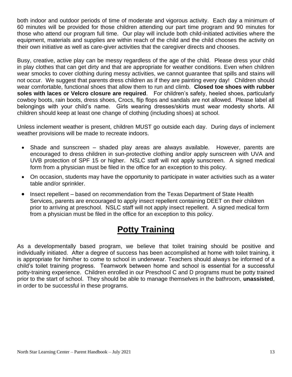both indoor and outdoor periods of time of moderate and vigorous activity. Each day a minimum of 60 minutes will be provided for those children attending our part time program and 90 minutes for those who attend our program full time. Our play will include both child-initiated activities where the equipment, materials and supplies are within reach of the child and the child chooses the activity on their own initiative as well as care-giver activities that the caregiver directs and chooses.

Busy, creative, active play can be messy regardless of the age of the child. Please dress your child in play clothes that can get dirty and that are appropriate for weather conditions. Even when children wear smocks to cover clothing during messy activities, we cannot guarantee that spills and stains will not occur. We suggest that parents dress children as if they are painting every day! Children should wear comfortable, functional shoes that allow them to run and climb. **Closed toe shoes with rubber soles with laces or Velcro closure are required**. For children's safety, heeled shoes, particularly cowboy boots, rain boots, dress shoes, Crocs, flip flops and sandals are not allowed. Please label all belongings with your child's name. Girls wearing dresses/skirts must wear modesty shorts. All children should keep at least one change of clothing (including shoes) at school.

Unless inclement weather is present, children MUST go outside each day. During days of inclement weather provisions will be made to recreate indoors.

- Shade and sunscreen shaded play areas are always available. However, parents are encouraged to dress children in sun-protective clothing and/or apply sunscreen with UVA and UVB protection of SPF 15 or higher. NSLC staff will not apply sunscreen. A signed medical form from a physician must be filed in the office for an exception to this policy.
- On occasion, students may have the opportunity to participate in water activities such as a water table and/or sprinkler.
- Insect repellent based on recommendation from the Texas Department of State Health Services, parents are encouraged to apply insect repellent containing DEET on their children prior to arriving at preschool. NSLC staff will not apply insect repellent. A signed medical form from a physician must be filed in the office for an exception to this policy.

### **Potty Training**

As a developmentally based program, we believe that toilet training should be positive and individually initiated. After a degree of success has been accomplished at home with toilet training, it is appropriate for him/her to come to school in underwear. Teachers should always be informed of a child's toilet training progress. Teamwork between home and school is essential for a successful potty-training experience. Children enrolled in our Preschool C and D programs must be potty trained prior to the start of school. They should be able to manage themselves in the bathroom, **unassisted**, in order to be successful in these programs.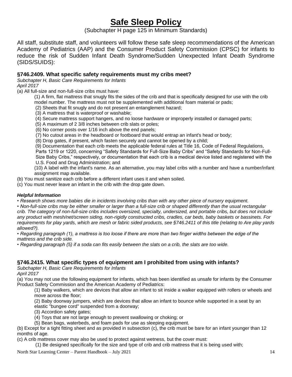### **Safe Sleep Policy**

(Subchapter H page 125 in Minimum Standards)

All staff, substitute staff, and volunteers will follow these safe sleep recommendations of the American Academy of Pediatrics (AAP) and the Consumer Product Safety Commission (CPSC) for infants to reduce the risk of Sudden Infant Death Syndrome/Sudden Unexpected Infant Death Syndrome (SIDS/SUIDS):

#### **§746.2409. What specific safety requirements must my cribs meet?**

*Subchapter H, Basic Care Requirements for Infants April 2017* 

(a) All full-size and non-full-size cribs must have:

- (1) A firm, flat mattress that snugly fits the sides of the crib and that is specifically designed for use with the crib model number. The mattress must not be supplemented with additional foam material or pads;
- (2) Sheets that fit snugly and do not present an entanglement hazard;
- (3) A mattress that is waterproof or washable;
- (4) Secure mattress support hangers, and no loose hardware or improperly installed or damaged parts;
- (5) A maximum of 2 3/8 inches between crib slats or poles;
- (6) No corner posts over 1/16 inch above the end panels;
- (7) No cutout areas in the headboard or footboard that would entrap an infant's head or body;
- (8) Drop gates, if present, which fasten securely and cannot be opened by a child;

(9) Documentation that each crib meets the applicable federal rules at Title 16, Code of Federal Regulations, Parts 1219 or 1220, concerning "Safety Standards for Full-Size Baby Cribs" and "Safety Standards for Non-Full-Size Baby Cribs," respectively, or documentation that each crib is a medical device listed and registered with the U.S. Food and Drug Administration; and

(10) A label with the infant's name. As an alternative, you may label cribs with a number and have a number/infant assignment map available.

(b) You must sanitize each crib before a different infant uses it and when soiled.

(c) You must never leave an infant in the crib with the drop gate down.

#### *Helpful Information*

*• Research shows more babies die in incidents involving cribs than with any other piece of nursery equipment.* 

*• Non-full-size cribs may be either smaller or larger than a full-size crib or shaped differently than the usual rectangular crib. The category of non-full-size cribs includes oversized, specialty, undersized, and portable cribs, but does not include any product with mesh/net/screen siding, non-rigidly constructed cribs, cradles, car beds, baby baskets or bassinets. For requirements for play yards, which are mesh or fabric sided products, see §746.2411 of this title (relating to Are play yards allowed?).* 

*• Regarding paragraph (1), a mattress is too loose if there are more than two finger widths between the edge of the mattress and the crib side.* 

*• Regarding paragraph (5) if a soda can fits easily between the slats on a crib, the slats are too wide.* 

#### **§746.2415. What specific types of equipment am I prohibited from using with infants?**

*Subchapter H, Basic Care Requirements for Infants April 2017* 

(a) You may not use the following equipment for infants, which has been identified as unsafe for infants by the Consumer Product Safety Commission and the American Academy of Pediatrics:

(1) Baby walkers, which are devices that allow an infant to sit inside a walker equipped with rollers or wheels and move across the floor;

(2) Baby doorway jumpers, which are devices that allow an infant to bounce while supported in a seat by an elastic "bungee cord" suspended from a doorway;

(3) Accordion safety gates;

(4) Toys that are not large enough to prevent swallowing or choking; or

(5) Bean bags, waterbeds, and foam pads for use as sleeping equipment.

(b) Except for a tight fitting sheet and as provided in subsection (c), the crib must be bare for an infant younger than 12 months of age.

(c) A crib mattress cover may also be used to protect against wetness, but the cover must:

(1) Be designed specifically for the size and type of crib and crib mattress that it is being used with;

North Star Learning Center – Parent Handbook – July 2021 14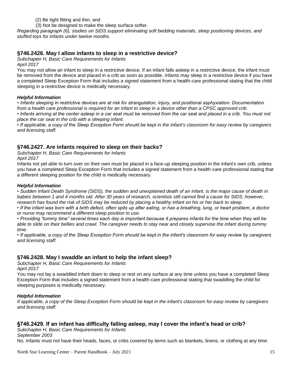- (2) Be tight fitting and thin; and
- (3) Not be designed to make the sleep surface softer.

*Regarding paragraph (6), studies on SIDS support eliminating soft bedding materials, sleep positioning devices, and stuffed toys for infants under twelve months.*

#### **§746.2426. May I allow infants to sleep in a restrictive device?**

*Subchapter H, Basic Care Requirements for Infants April 2017* 

You may not allow an infant to sleep in a restrictive device. If an infant falls asleep in a restrictive device, the infant must be removed from the device and placed in a crib as soon as possible. Infants may sleep in a restrictive device if you have a completed Sleep Exception Form that includes a signed statement from a health-care professional stating that the child sleeping in a restrictive device is medically necessary.

#### *Helpful Information*

*• Infants sleeping in restrictive devices are at risk for strangulation, injury, and positional asphyxiation. Documentation from a health care professional is required for an infant to sleep in a device other than a CPSC approved crib.* 

• Infants arriving at the center asleep in a car seat must be removed from the car seat and placed in a crib. You must not *place the car seat in the crib with a sleeping infant.* 

*• If applicable, a copy of the Sleep Exception Form should be kept in the infant's classroom for easy review by caregivers and licensing staff.*

#### **§746.2427. Are infants required to sleep on their backs?**

*Subchapter H, Basic Care Requirements for Infants April 2017* 

Infants not yet able to turn over on their own must be placed in a face-up sleeping position in the infant's own crib, unless you have a completed Sleep Exception Form that includes a signed statement from a health-care professional stating that a different sleeping position for the child is medically necessary.

#### *Helpful Information*

*• Sudden Infant Death Syndrome (SIDS), the sudden and unexplained death of an infant, is the major cause of death in babies between 1 and 4 months old. After 30 years of research, scientists still cannot find a cause for SIDS; however, research has found the risk of SIDS may be reduced by placing a healthy infant on his or her back to sleep.* 

*• If the infant was born with a birth defect, often spits up after eating, or has a breathing, lung, or heart problem, a doctor or nurse may recommend a different sleep position to use.* 

*• Providing "tummy time" several times each day is important because it prepares infants for the time when they will be able to slide on their bellies and crawl. The caregiver needs to stay near and closely supervise the infant during tummy time.* 

*• If applicable, a copy of the Sleep Exception Form should be kept in the infant's classroom for easy review by caregivers and licensing staff.*

#### **§746.2428. May I swaddle an infant to help the infant sleep?**

*Subchapter H, Basic Care Requirements for Infants April 2017* 

You may not lay a swaddled infant down to sleep or rest on any surface at any time unless you have a completed Sleep Exception Form that includes a signed statement from a health-care professional stating that swaddling the child for sleeping purposes is medically necessary.

#### *Helpful Information*

*If applicable, a copy of the Sleep Exception Form should be kept in the infant's classroom for easy review by caregivers and licensing staff.* 

#### **§746.2429. If an infant has difficulty falling asleep, may I cover the infant's head or crib?**

*Subchapter H, Basic Care Requirements for Infants September 2003* 

No. Infants must not have their heads, faces, or cribs covered by items such as blankets, linens, or clothing at any time.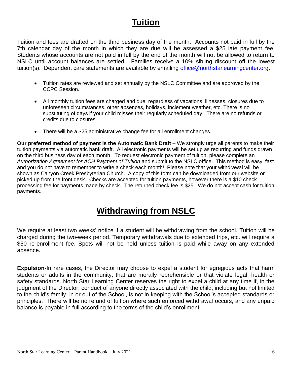### **Tuition**

Tuition and fees are drafted on the third business day of the month. Accounts not paid in full by the 7th calendar day of the month in which they are due will be assessed a \$25 late payment fee. Students whose accounts are not paid in full by the end of the month will not be allowed to return to NSLC until account balances are settled. Families receive a 10% sibling discount off the lowest tuition(s). Dependent care statements are available by emailing [office@northstarlearningcenter.org.](mailto:office@northstarlearningcenter.org)

- Tuition rates are reviewed and set annually by the NSLC Committee and are approved by the CCPC Session.
- All monthly tuition fees are charged and due, regardless of vacations, illnesses, closures due to unforeseen circumstances, other absences, holidays, inclement weather, etc. There is no substituting of days if your child misses their regularly scheduled day. There are no refunds or credits due to closures.
- There will be a \$25 administrative change fee for all enrollment changes.

**Our preferred method of payment is the Automatic Bank Draft** – We strongly urge all parents to make their tuition payments via automatic bank draft. All electronic payments will be set up as recurring and funds drawn on the third business day of each month. To request electronic payment of tuition, please complete an *Authorization Agreement for ACH Payment of Tuition* and submit to the NSLC office. This method is easy, fast and you do not have to remember to write a check each month! Please note that your withdrawal will be shown as Canyon Creek Presbyterian Church. A copy of this form can be downloaded from our website or picked up from the front desk. Checks are accepted for tuition payments, however there is a \$10 check processing fee for payments made by check. The returned check fee is \$25. We do not accept cash for tuition payments.

### **Withdrawing from NSLC**

We require at least two weeks' notice if a student will be withdrawing from the school. Tuition will be charged during the two-week period. Temporary withdrawals due to extended trips, etc. will require a \$50 re-enrollment fee. Spots will not be held unless tuition is paid while away on any extended absence.

**Expulsion-**In rare cases, the Director may choose to expel a student for egregious acts that harm students or adults in the community, that are morally reprehensible or that violate legal, health or safety standards. North Star Learning Center reserves the right to expel a child at any time if, in the judgment of the Director, conduct of anyone directly associated with the child, including but not limited to the child's family, in or out of the School, is not in keeping with the School's accepted standards or principles. There will be no refund of tuition where such enforced withdrawal occurs, and any unpaid balance is payable in full according to the terms of the child's enrollment.